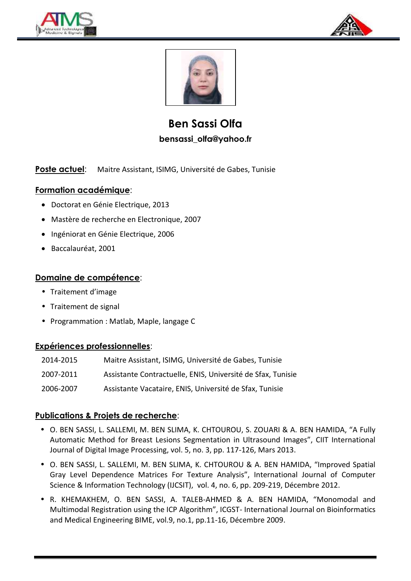





**Ben Sassi Olfa bensassi\_olfa@yahoo.fr**

Poste actuel: Maitre Assistant, ISIMG, Université de Gabes, Tunisie

# **Formation académique**:

- Doctorat en Génie Electrique, 2013
- Mastère de recherche en Electronique, 2007
- Ingéniorat en Génie Electrique, 2006
- Baccalauréat, 2001

## **Domaine de compétence**:

- Traitement d'image
- Traitement de signal
- Programmation : Matlab, Maple, langage C

### **Expériences professionnelles**:

| 2014-2015 | Maitre Assistant, ISIMG, Université de Gabes, Tunisie       |
|-----------|-------------------------------------------------------------|
| 2007-2011 | Assistante Contractuelle, ENIS, Université de Sfax, Tunisie |
| 2006-2007 | Assistante Vacataire, ENIS, Université de Sfax, Tunisie     |

# **Publications & Projets de recherche**:

- O. BEN SASSI, L. SALLEMI, M. BEN SLIMA, K. CHTOUROU, S. ZOUARI & A. BEN HAMIDA, "A Fully Automatic Method for Breast Lesions Segmentation in Ultrasound Images", CIIT International Journal of Digital Image Processing, vol. 5, no. 3, pp. 117-126, Mars 2013.
- O. BEN SASSI, L. SALLEMI, M. BEN SLIMA, K. CHTOUROU & A. BEN HAMIDA, "Improved Spatial Gray Level Dependence Matrices For Texture Analysis", International Journal of Computer Science & Information Technology (IJCSIT), vol. 4, no. 6, pp. 209-219, Décembre 2012.
- R. KHEMAKHEM, O. BEN SASSI, A. TALEB-AHMED & A. BEN HAMIDA, "Monomodal and Multimodal Registration using the ICP Algorithm", ICGST- International Journal on Bioinformatics and Medical Engineering BIME, vol.9, no.1, pp.11-16, Décembre 2009.